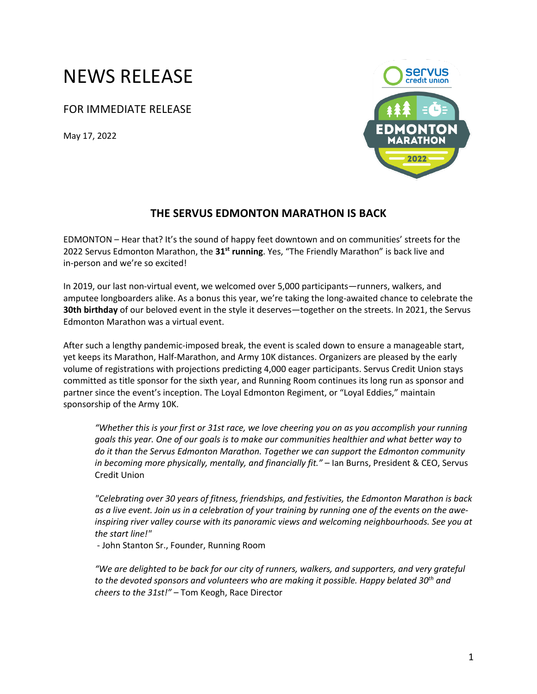## NEWS RELEASE

FOR IMMEDIATE RELEASE

May 17, 2022



## **THE SERVUS EDMONTON MARATHON IS BACK**

EDMONTON – Hear that? It's the sound of happy feet downtown and on communities' streets for the 2022 Servus Edmonton Marathon, the **31st running**. Yes, "The Friendly Marathon" is back live and in-person and we're so excited!

In 2019, our last non-virtual event, we welcomed over 5,000 participants—runners, walkers, and amputee longboarders alike. As a bonus this year, we're taking the long-awaited chance to celebrate the **30th birthday** of our beloved event in the style it deserves—together on the streets. In 2021, the Servus Edmonton Marathon was a virtual event.

After such a lengthy pandemic-imposed break, the event is scaled down to ensure a manageable start, yet keeps its Marathon, Half-Marathon, and Army 10K distances. Organizers are pleased by the early volume of registrations with projections predicting 4,000 eager participants. Servus Credit Union stays committed as title sponsor for the sixth year, and Running Room continues its long run as sponsor and partner since the event's inception. The Loyal Edmonton Regiment, or "Loyal Eddies," maintain sponsorship of the Army 10K.

*"Whether this is your first or 31st race, we love cheering you on as you accomplish your running goals this year. One of our goals is to make our communities healthier and what better way to do it than the Servus Edmonton Marathon. Together we can support the Edmonton community in becoming more physically, mentally, and financially fit."* – Ian Burns, President & CEO, Servus Credit Union

*"Celebrating over 30 years of fitness, friendships, and festivities, the Edmonton Marathon is back as a live event. Join us in a celebration of your training by running one of the events on the aweinspiring river valley course with its panoramic views and welcoming neighbourhoods. See you at the start line!"*

- John Stanton Sr., Founder, Running Room

*"We are delighted to be back for our city of runners, walkers, and supporters, and very grateful to the devoted sponsors and volunteers who are making it possible. Happy belated 30th and cheers to the 31st!"* – Tom Keogh, Race Director